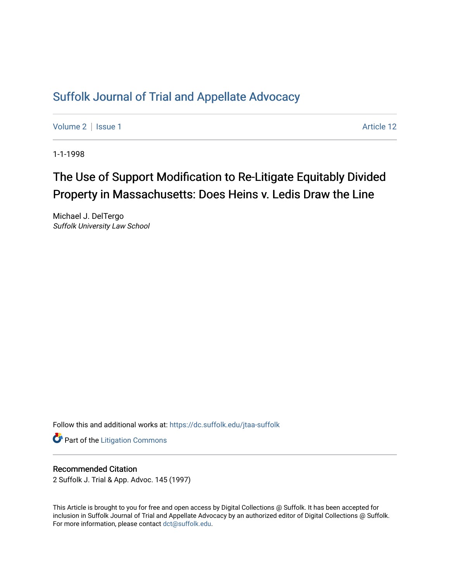## [Suffolk Journal of Trial and Appellate Advocacy](https://dc.suffolk.edu/jtaa-suffolk)

[Volume 2](https://dc.suffolk.edu/jtaa-suffolk/vol2) | [Issue 1](https://dc.suffolk.edu/jtaa-suffolk/vol2/iss1) Article 12

1-1-1998

# The Use of Support Modification to Re-Litigate Equitably Divided Property in Massachusetts: Does Heins v. Ledis Draw the Line

Michael J. DelTergo Suffolk University Law School

Follow this and additional works at: [https://dc.suffolk.edu/jtaa-suffolk](https://dc.suffolk.edu/jtaa-suffolk?utm_source=dc.suffolk.edu%2Fjtaa-suffolk%2Fvol2%2Fiss1%2F12&utm_medium=PDF&utm_campaign=PDFCoverPages) 

**Part of the [Litigation Commons](https://network.bepress.com/hgg/discipline/910?utm_source=dc.suffolk.edu%2Fjtaa-suffolk%2Fvol2%2Fiss1%2F12&utm_medium=PDF&utm_campaign=PDFCoverPages)** 

#### Recommended Citation

2 Suffolk J. Trial & App. Advoc. 145 (1997)

This Article is brought to you for free and open access by Digital Collections @ Suffolk. It has been accepted for inclusion in Suffolk Journal of Trial and Appellate Advocacy by an authorized editor of Digital Collections @ Suffolk. For more information, please contact [dct@suffolk.edu](mailto:dct@suffolk.edu).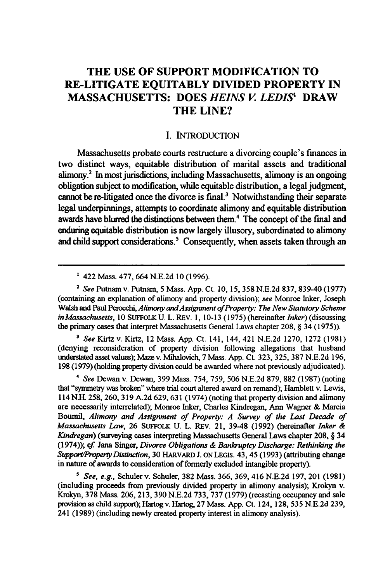### **THE USE OF SUPPORT MODIFICATION TO RE-LITIGATE EQUITABLY DIVIDED PROPERTY IN MASSACHUSETTS: DOES** *HEINS V LEDIS'* **DRAW THE LINE?**

#### I. INTRODUCTION

Massachusetts probate courts restructure a divorcing couple's finances in two distinct ways, equitable distribution of marital assets and traditional **alimony.2** In most jurisdictions, including Massachusetts, alimony is an ongoing obligation subject to modification, while equitable distribution, a legal judgment, cannot be re-litigated once the divorce is final.<sup>3</sup> Notwithstanding their separate legal underpinnings, attempts to coordinate alimony and equitable distribution awards have blurred the distinctions between them.<sup>4</sup> The concept of the final and enduring equitable distribution is now largely illusory, subordinated to alimony and child support considerations.<sup>5</sup> Consequently, when assets taken through an

<sup>2</sup>*See* Putnam v. Putnam, 5 Mass. App. Ct. 10, 15, 358 N.E.2d 837, 839-40 (1977) (containing an explanation of alimony and property division); see Monroe Inker, Joseph Walsh and Paul Perocchi, *Alimony and Assignment of Property: The New Statutory Scheme in Massachusetts,* 10 **SUFFOLK U.** L. REv. 1, 10-13 (1975) (hereinafter *Inker)* (discussing the primary cases that interpret Massachusetts General Laws chapter 208, **§** 34 (1975)).

*' See* Kirtz v. Kirtz, 12 Mass. App. Ct. 141, 144, 421 N.E.2d 1270, 1272 (1981) (denying reconsideration of property division following allegations that husband understated asset values); Maze v. Mihalovich, 7 Mass. App. Ct. 323, 325, 387 N.E.2d 196, 198 (1979) (holding property division could be awarded where not previously adjudicated).

*4 See* Dewan v. Dewan, 399 Mass. 754, 759, 506 N.E.2d 879, 882 (1987) (noting that "symmetry was broken" where trial court altered award on remand); Hamblett v. Lewis, 114 N.H. 258, 260, 319 A.2d 629, 631 (1974) (noting that property division and alimony are necessarily interrelated); Monroe Inker, Charles Kindregan, Ann Wagner & Marcia Boumil, *Alimony and Assignment of Property: A Survey of the Last Decade of Massachusetts Law,* 26 SUFFOLK **U.** L. REv. 21, 39-48 (1992) (hereinafter *Inker & Kindregan)* (surveying cases interpreting Massachusetts General Laws chapter **208, §** 34 (1974)); *cf.* Jana Singer, *Divorce Obligations & Bankruptcy Discharge: Rethinking the Support/PropertyDistinction,* **30** HARvARD **J.** ON LEGIS. 43, 45 **(1993)** (attributing change in nature of awards to consideration of formerly excluded intangible property).

*' See, e.g.,* Schuler v. Schuler, **382** Mass. **366, 369,** 416 **N.E.2d 197,** 201 **(1981)** (including proceeds from previously divided property in alimony analysis); Krokyn v. Krokyn, **378** Mass. **206, 213, 390 N.E.2d 733, 737 (1979)** (recasting occupancy and sale provision as child support); Hartog v. Hartog, **27** Mass. **App.** Ct. 124, **128, 535 N.E.2d 239,** 241 **(1989)** (including newly created property interest in alimony analysis).

**<sup>&#</sup>x27;** 422 Mass. 477, 664 N.E.2d 10 (1996).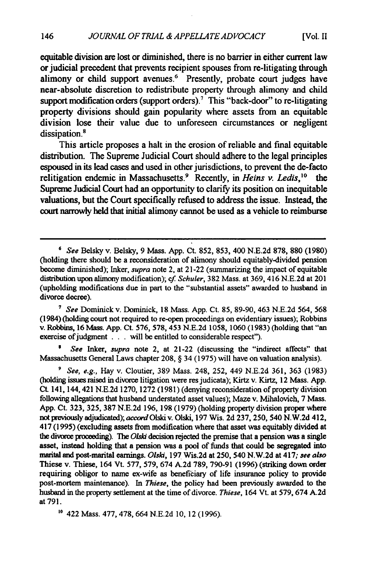**[Vol. II**

equitable division are lost or diminished, there is no barrier in either current law or judicial precedent that prevents recipient spouses from re-litigating through alimony or child support avenues.<sup>6</sup> Presently, probate court judges have near-absolute discretion to redistribute property through alimony and child support modification orders (support orders).<sup>7</sup> This "back-door" to re-litigating property divisions should gain popularity where assets from an equitable division lose their value due to unforeseen circumstances or negligent dissipation.<sup>8</sup>

This article proposes a halt **in** the erosion of reliable and final equitable distribution. The Supreme Judicial Court should adhere to the legal principles espoused in its lead cases and used in other jurisdictions, to prevent the de-facto relitigation endemic in Massachusetts.9 Recently, in *Heins v. Ledis,'0 the* Supreme Judicial Court had an opportunity to clarify its position on inequitable valuations, but the Court specifically refused to address the issue. Instead, the court narrowly held that initial alimony cannot be used as a vehicle to reimburse

**7** *See* Dominick v. Dominick, **18** Mass. App. Ct. **85, 89-90,** 463 **N.E.2d** 564, **<sup>568</sup>** (1984) (holding court not required to re-open proceedings on evidentiary issues); Robbins v. Robbins, **16** Mass. App. Ct. 576, 578, 453 **N.E.2d 1058, 1060 (1983)** (holding that "an exercise of judgment . . . will be entitled to considerable respect").

*8 See Inker, supra* note 2, at 21-22 (discussing the "indirect affects" that Massachusetts General Laws chapter 208, § 34 **(1975)** will have on valuation analysis).

*' See, e.g.,* Hay v. Cloutier, 389 Mass. 248, 252, 449 **N.E.2d 361, 363 (1983)** (holding issues raised in divorce litigation were res judicata); Kirtz v. Kirtz, 12 Mass. App. Ct. 141,144,421 **N.E.2d 1270,** 1272 **(1981)** (denying reconsideration of property division following allegations that husband understated asset values); Maze v. Mihalovich, **7** Mass. App. Ct. **323, 325, 387 N.E.2d** 196, **198 (1979)** (holding property division proper where not previously adjudicated); accondOlski v. Olski, 197 Wis. **2d 237,** 250, 540 **N.W.2d** 412, 417 (1995) (excluding assets from modification where that asset was equitably divided at the divorce proceeding). The *Olski* decision rejected the premise that a pension was a single asset, instead holding that a pension was a pool of **funds** that could be segregated into marital and post-marital earnings. *Olski,* **197** Wis.2d at **250,** 540 **N.W.2d** at 417; *see also* Thiese v. Thiese, 164 Vt. **577, 579,** 674 **A.2d 789, 790-91 (1996)** (striking down order requiring obligor to name ex-wife as beneficiary of life insurance policy to provide post-mortem maintenance). In *Thiese,* the policy had been previously awarded to the husband in the property settlement at the time of divorce. *Thiese,* 164 Vt. at **579,** 674 **A.2d** at **791.**

**'0** 422 Mass. **477, 478,** 664 **N.E.2d 10,** 12 **(1996).**

<sup>&#</sup>x27; *See* Belsky v. Belsky, 9 Mass. App. Ct. **852, 853,** 400 **N.E.2d 878, 880 (1980)** (holding there should be a reconsideration of alimony should equitably-divided pension become diminished); Inker, *supra* note 2, at 21-22 (summarizing the impact of equitable distribution upon alimony modification); *cf. Schuler,* 382 Mass. at 369, 416 **N.E.2d** at 201 (upholding modifications due in part to the "substantial assets" awarded to husband in divorce decree).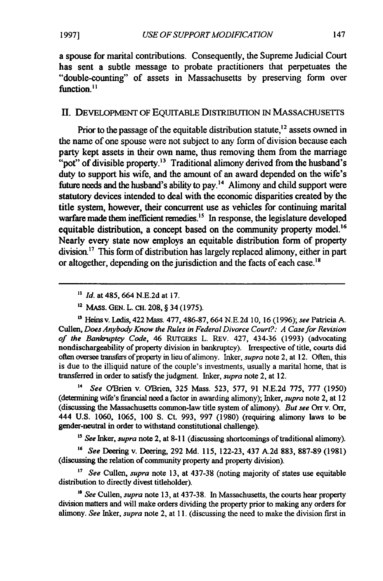a spouse for marital contributions. Consequently, the Supreme Judicial Court has sent a subtle message to probate practitioners that perpetuates the "double-counting" of assets in Massachusetts by preserving form over function.<sup>11</sup>

#### II. DEVELOPMENT OF EQUITABLE DISTRIBUTION IN MASSACHUSETTS

Prior to the passage of the equitable distribution statute,  $^{12}$  assets owned in the name of one spouse were not subject to any form of division because each party kept assets in their own name, thus removing them from the marriage "pot" of divisible property.<sup>13</sup> Traditional alimony derived from the husband's duty to support his wife, and the amount of an award depended on the wife's future needs and the husband's ability to pay.'4 Alimony and child support were statutory devices intended to deal with the economic disparities created **by** the title system, however, their concurrent use as vehicles for continuing marital warfare made them inefficient remedies.<sup>15</sup> In response, the legislature developed equitable distribution, a concept based on the community property model.<sup>16</sup> Nearly every state now employs an equitable distribution form of property  $division<sup>17</sup>$ . This form of distribution has largely replaced alimony, either in part or altogether, depending on the jurisdiction and the facts of each case.<sup>18</sup>

**"** *Id.* at 485, 664 N.E.2d at 17.

**<sup>12</sup>**MASS. **GEN.** L. **CH.** 208, § 34 (1975).

'3Heins v. Ledis, 422 Mass. 477, 486-87, 664 N.E.2d 10, 16 (1996); *see* Patricia A. Cullen, *Does Anybody Know the Rules in Federal Divorce Court?: A Case for Revision of the Bankruptcy Code,* 46 RUTGERS L. REv. 427, 434-36 (1993) (advocating nondischargeability of property division in bankruptcy). Irrespective of title, courts did often oversee transfers of property in lieu of alimony. Inker, *supra* note 2, at 12. Often, this is due to the illiquid nature of the couple's investments, usually a marital home, that is transferred in order to satisfy the judgment. Inker, *supra* note 2, at 12.

*' See* OBrien v. O'Brien, 325 Mass. 523, 577, 91 N.E.2d **775, 777 (1950)** (determining wife's financial need a factor in awarding alimony); Inker, *supra* note 2, at 12 (discussing the Massachusetts common-law title system of alimony). *But see* Orr v. *Orr,* 444 U.S. 1060, 1065, 100 S. Ct. 993, 997 (1980) (requiring alimony laws to be gender-neutral in order to withstand constitutional challenge).

<sup>15</sup> See Inker, *supra* note 2, at 8-11 (discussing shortcomings of traditional alimony).

*"6 See* Deering v. Deering, 292 Md. 115, 122-23, 437 A.2d 883, 887-89 (1981) (discussing the relation of community property and property division).

**"** *See* Cullen, *supra* note 13, at 437-38 (noting majority of states use equitable distribution to directly divest titleholder).

*" See* Cullen, *supra* note 13, at 437-38. In Massachusetts, the courts hear property division matters and will make orders dividing the property prior to making any orders for alimony. *See* Inker, *supra* note 2, at 11. (discussing the need to make the division first in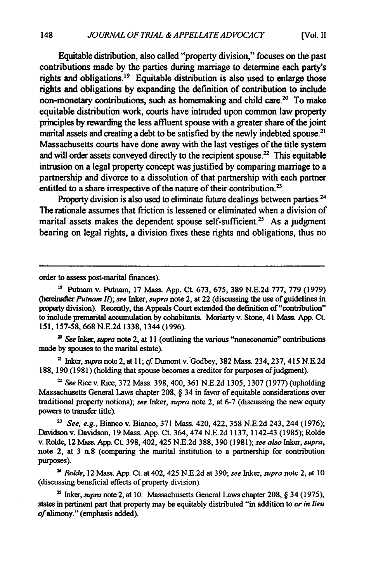Equitable distribution, also called "property division," focuses on the past contributions made **by** the parties during marriage to determine each party's rights and obligations.<sup>19</sup> Equitable distribution is also used to enlarge those rights and obligations **by** expanding the definition of contribution to include non-monetary contributions, such as homemaking and child care.<sup>20</sup> To make equitable distribution work, courts have intruded upon common law property principles **by** rewarding the less affluent spouse with a greater share of the joint marital assets and creating a debt to be satisfied by the newly indebted spouse.<sup>2</sup> Massachusetts courts have done away with the last vestiges of the title system and will order assets conveyed directly to the recipient spouse. $22$  This equitable intrusion on a legal property concept was justified **by** comparing marriage to a partnership and divorce to a dissolution of that partnership with each partner entitled to a share irrespective of the nature of their contribution.<sup>23</sup>

Property division is also used to eliminate future dealings between parties.<sup>24</sup> The rationale assumes that friction is lessened or eliminated when a division of marital assets makes the dependent spouse self-sufficient.<sup>25</sup> As a judgment bearing on legal rights, a division fixes these rights and obligations, thus no

order to assess post-marital finances).

*" See hiker, supra* note 2, at **11** (outlining the various "noneconomic" contributions made **by** spouses to the marital estate).

**<sup>2</sup>**Inker, *supra* note 2, at *11;* cf Dumont v.-Godbey, **382** Mass. 234, **237,** 415 **N.E.2d 188, 190 (1981)** (holding that spouse becomes a creditor for purposes of judgment).

*' See* Rice **v.** Rice, **372** Mass. **398,** 400, **361 N.E.2d 1305, 1307 (1977)** (upholding Massachusetts General Laws chapter **208,** § 34 in favor of equitable considerations over traditional property notions); *see Inker, supra* note 2, at **6-7** (discussing the new equity powers to transfer title).

*" See, e.g.,* Bianco v. Bianco, **371** Mass. 420, 422, **358** N.E.2d 243, 244 (1976); Davidson v. Davidson, **19** Mass. App. Ct. 364, 474 N.E.2d **1137,** 1142-43 (1985); Rolde v. Rolde, 12 Mass. App. Ct. 398, 402,425 N.E.2d **388,** 390 **(1981);** *see also hiker, supra,* note 2, at 3 n.8 (comparing the marital institution to a partnership for contribution purposes).

<sup>2</sup>*Rolde,* 12 Mass. **App.** Ct. at 402, 425 **N.E.2d** at **390;** *see Inker, supra* note 2, at **10** (discussing beneficial effects of property division).

<sup>2</sup>Inker, *supra* note 2, at **10.** Massachusetts General Laws chapter **208,** § 34 **(1975),** states in pertinent part that property may be equitably distributed "in addition to *or in lieu of* alimony." (emphasis added).

**<sup>&</sup>quot;** Putnam v. Putnam, 17 Mass. App. Ct. 673, 675, **389** N.E.2d 777, 779 (1979) (hereinafter *Putnam I); see Inker, supra* note 2, at 22 (discussing the use of guidelines in property division). Recently, the Appeals Court extended the definition of "contribution" to include premarital accumulation **by** cohabitants. Moriarty v. Stone, 41 Mass. **App.** Ct. **151, 157-58, 668 N.E.2d 1338,** 1344 **(1996).**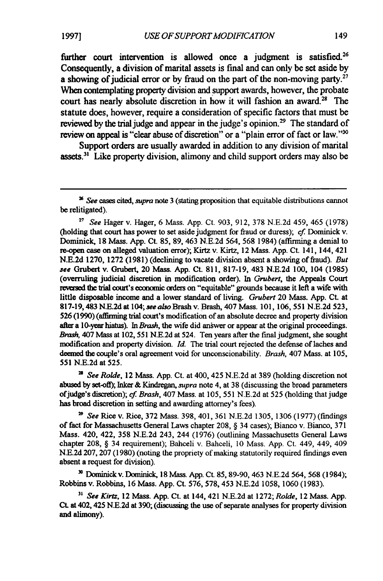further court intervention is allowed once a judgment is satisfied.<sup>26</sup> Consequently, a division of marital assets is final and can only **be** set aside **by** a showing of judicial error or by fraud on the part of the non-moving party.<sup>2</sup> When contemplating property division and support awards, however, the probate court has nearly absolute discretion in how it will fashion an award.<sup>28</sup> The statute does, however, require a consideration of specific factors that must be reviewed by the trial judge and appear in the judge's opinion.<sup>29</sup> The standard of review on appeal is "clear abuse of discretion" or a "plain error of fact or law."<sup>30</sup>

Support orders are usually awarded in addition to any division of marital assets. $31$  Like property division, alimony and child support orders may also be

*<sup>27</sup>See* Hager v. Hager, 6 Mass. App. Ct. 903, 912, 378 N.E.2d 459, 465 (1978) (holding that court has power to set aside judgment for fraud or duress); *cf* Dominick v. Dominick, **18** Mass. App. Ct. 85, 89, 463 N.E.2d 564, 568 1984) (affirming a denial to re-open case on alleged valuation error); Kirtz v. Kirtz, 12 Mass. App. Ct. 141, 144, 421 **N.E.2d** 1270, 1272 (1981) (declining to vacate division absent a showing of fraud). *But see* Grubert v. Grubert, 20 **Mass.** App. Ct. 811, 817-19, 483 N.E.2d 100, 104 (1985) (overruling judicial discretion in modification order). In *Grubert,* the Appeals Court revesed the trial court's economic orders on "equitable" grounds because it **left** a wife with little disposable income and a lower standard of living. *Grubert* 20 Mass. App. Ct. at 817-19,483 N.E.2d at 104; *see also* Brash v. Brash, 407 Mass. 101, 106, 551 N.E.2d 523, 526 (1990) (affirming trial court's modification of an absolute decree and property division after a 10-year hiatus). In *Brash,* the wife did answer or appear at the original proceedings. *Brash,* 407 Mass at 102, 551 N.E.2d at 524. Ten years after the final judgment, she sought modification and property division. *Id.* The trial court rejected the defense of laches and deemed the couple's oral agreement void for unconscionability. *Brash,* 407 Mass. at 105, 551 N.E.2d at 525.

*<sup>2</sup>See Rolde,* 12 Mass. App. Ct. at 400, 425 N.E.2d at 389 (holding discretion not abused by set-off); Inker *&* Kindregan, *supra* note 4, at 38 (discussing the broad parameters ofjudge's discretion); *cf Brash,* 407 Mass. at 105, 551 N.E.2d at 525 (holding that judge has broad discretion in setting and awarding attorney's fees).

*" See* Rice v. Rice, 372 Mass. 398, 401, 361 N.E.2d 1305, 1306 (1977) (findings of fact for Massachusetts General Laws chapter 208, § 34 cases); Bianco v. Bianco, 371 Mass. 420, 422, 358 N.E.2d 243, 244 (1976) (outlining Massachusetts General Laws chapter 208, § 34 requirement); Baheeli v. Bahceli, 10 Mass. App. Ct. 449, 449, 409 N.E.2d 207, 207 (1980) (noting the propriety of making statutorily required findings even absent a request for division).

" Dominick v. Dominick, 18 Mass. App. Ct. 85, 89-90, 463 N.E.2d 564, 568 (1984); Robbins v. Robbins, 16 Mass. App. Ct. 576, 578, 453 N.E.2d 1058, 1060 (1983).

*3 See Kirtz,* 12 Mass. App. Ct. at 144, 421 N.E.2d at 1272; *Rolde,* 12 Mass. App. **Ct.** at 402,425 N.E.2d at 390; (discussing the use of separate analyses for property division and alimony).

*<sup>&#</sup>x27; See* cases cited, *supra* note 3 (stating proposition that equitable distributions cannot be relitigated).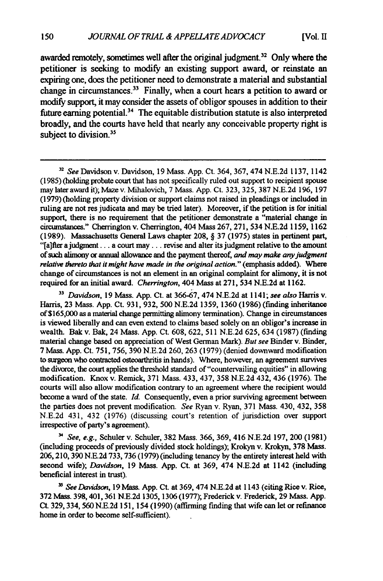awarded remotely, sometimes well after the original judgment.<sup>32</sup> Only where the petitioner is seeking to modify an existing support award, or reinstate an expiring one, does the petitioner need to demonstrate a material and substantial change in circumstances.33 Finally, when a court hears a petition to award or modify support, it may consider the assets of obligor spouses in addition to their future earning potential.34 The equitable distribution statute is also interpreted broadly, and the courts have held that nearly any conceivable property right **is** subject to division.<sup>35</sup>

*<sup>33</sup>Davidson,* **19** Mass. **App.** Ct. at **366-67,** 474 **N.E.2d** at **1141;** *see also* Harris v. Harris, **23** Mass. **App.** Ct. **931, 932, 500 N.E.2d 1359, 1360 (1986)** (finding inheritance of **\$165,000** as a material change permitting alimony termination). Change in circumstances is viewed liberally and can even extend to claims based solely on an obligor's increase in wealth. Bak v. Bak, 24 Mass. **App.** Ct. **608, 622, 511 N.E.2d 625,** 634 **(1987)** (finding material change based on appreciation of West German Mark). *But see* Binder v. Binder, 7 Mass. **App.** Ct. **751, 756, 390 N.E.2d 260, 263 (1979)** (denied downward modification to surgeon who contracted osteoarthritis in hands). Where, however, an agreement survives the divorce, the court applies the threshold standard of "countervailing equities" in allowing modification. Knox v. Remick, **371** Mass. 433, 437, **358 N.E.2d** 432, 436 **(1976).** The courts will also allow modification contrary to an agreement where the recipient would become a ward of the state. *Id.* Consequently, even a prior surviving agreement between the parties does not prevent modification. *See* Ryan v. Ryan, **371** Mass. 430, 432, **358 N.E.2d** 431, 432 **(1976)** (discussing court's retention of jurisdiction over support irrespective of party's agreement).

*' See, e.g.,* Schuler v. Schuler, **382** Mass. **366, 369,** 416 **N.E.2d 197,** 200 (1981) (including proceeds of previously divided stock holdings); Krokyn v. Krokyn, **378 Mass.** 206,210, **390** N.E.2d 733, **736** (1979) (including tenancy by the entirety interest held with second wife); *Davidson,* 19 Mass. App. Ct. at 369, 474 N.E.2d at 1142 (including beneficial interest in trust).

<sup>35</sup> *See Davidson*, 19 Mass. App. Ct. at 369, 474 N.E.2d at 1143 (citing Rice v. Rice, **372** Mass. 398,401,361 N.E.2d 1305, 1306 (1977); Frederick v. Frederick, 29 Mass. App. Ct. 329, 334, 560 N.E.2d 151, 154 (1990) (affirming finding that wife can let or refinance home in order to become self-sufficient).

*<sup>32</sup> See* Davidson v. Davidson, 19 Mass. App. Ct. 364, 367, 474 N.E.2d 1137, 1142 (1985) (holding probate court that has not specifically ruled out support to recipient spouse may later award it); Maze v. Mihalovich, 7 Mass. App. Ct. **323, 325,** 387 N.E.2d **196,** 197 (1979) (holding property division or support claims not raised in pleadings or included in ruling are not res judicata and may be tried later). Moreover, if the petition is for initial support, there is no requirement that the petitioner demonstrate a "material change in circumstances." Cherrington v. Cherrington, 404 Mass **267, 271,** 534 **N.E.2d 1159, 1162 (1989).** Massachusetts General Laws chapter **208,** § **37 (1975)** states in pertinent part, "[a]fter **a** judgment... a court **may...** revise and alter its judgment relative to the amount of such alimony or annual allowance and the payment thereof, *and may make any judgment relative thereto that* **it might** *have made in the original action."* (emphasis added). Where change of circumstances is not an element in an original complaint for alimony, it is not required for an initial award. **Cherrington,** 404 Mass at **271,** 534 **N.E.2d** at **1162.**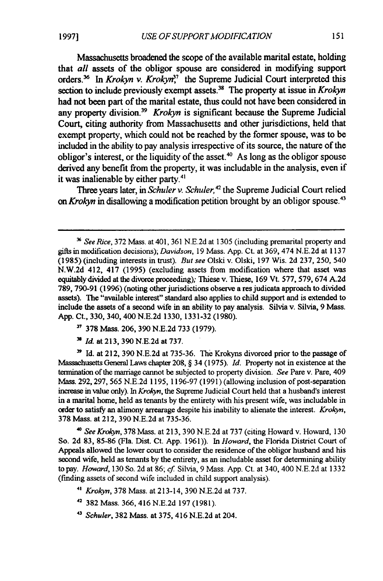Massachusetts broadened the scope of the available marital estate, holding that *all* assets of the obligor spouse are considered **in** modifying support orders.<sup>36</sup> In *Krokyn v. Krokyn*<sup>37</sup> the Supreme Judicial Court interpreted this section to include previously exempt assets.<sup>38</sup> The property at issue in *Krokyn* had not been part of the marital estate, thus could not have been considered in any property division.<sup>39</sup> *Krokyn* is significant because the Supreme Judicial Court, citing authority from Massachusetts and other jurisdictions, held that exempt property, which could not be reached **by** the former spouse, was to be included in the ability to pay analysis irrespective of its source, the nature of the obligor's interest, or the liquidity of the asset.<sup>40</sup> As long as the obligor spouse derived any benefit from the property, it was includable in the analysis, even if it was inalienable **by** either **party.<sup>4</sup> '**

Three years later, in *Schuler v. Schuler,42* the Supreme Judicial Court relied *on Krokyn* in disallowing a modification petition brought **by** an obligor spouse.<sup>43</sup>

- **<sup>37</sup>**378 Mass. 206, 390 N.E.2d 733 (1979).
- *<sup>38</sup>Id.* at 213, 390 N.E.2d at 737.

**"** Id. at 212, 390 N.E.2d at 735-36. The Krokyns divorced prior to the passage of Massachusetts General Laws chapter 208, § 34 (1975). *Id.* Property not in existence at the termination of the marriage cannot be subjected to property division. *See* Pare v. Pare, 409 Mass. 292, 297, 565 N.E.2d 1195, 1196-97 (1991) (allowing inclusion of post-separation increase in value only). In *Krokyn,* the Supreme Judicial Court held that a husband's interest in a marital home, held as tenants by the entirety with his present wife, was includable in order to satisfy an alimony arrearage despite his inability to alienate the interest. *Krokyn,* 378 Mass. at 212, 390 N.E.2d at 735-36.

*' See Krokyn,* 378 Mass. at 213, 390 N.E.2d at 737 (citing Howard v. Howard, 130 So. 2d 83, 85-86 (Fla. Dist. Ct. App. 1961)). In *Howard,* the Florida District Court of Appeals allowed the lower court to consider the residence of the obligor husband and his second wife, held as tenants by the entirety, as an includable asset for determining ability to pay. *Howard,* 130 So. 2d at 86; *cf* Silvia, 9 Mass. App. Ct. at 340, 400 N.E.2d at 1332 (finding assets of second wife included in child support analysis).

- *4' Krokyn,* 378 Mass. at 213-14, 390 N.E.2d at 737.
- **<sup>42</sup>**382 Mass. 366, 416 N.E.2d 197 (1981).
- *<sup>43</sup>Schuler,* 382 Mass. at 375, 416 N.E.2d at 204.

*See Rice,* 372 Mass. at 401, 361 N.E.2d at 1305 (including premarital property and gifts in modification decisions); *Davidson,* 19 Mass. App. Ct. at 369, 474 N.E.2d at 1137 (1985) (including interests in trust). *But see* Olski v. Olski, 197 Wis. 2d 237, 250, 540 N.W.2d 412, 417 (1995) (excluding assets from modification where that asset was equitably divided at the divorce proceeding); Thiese v. Thiese, 169 Vt. 577, 579, 674 A.2d 789, 790-91 (1996) (noting other jurisdictions observe a res judicata approach to divided assets). The "available interest" standard also applies to child support and is extended to include the assets of a second wife in an ability to pay analysis. Silvia v. Silvia, 9 Mass. App. Ct., 330, 340, 400 N.E.2d 1330, 1331-32 (1980).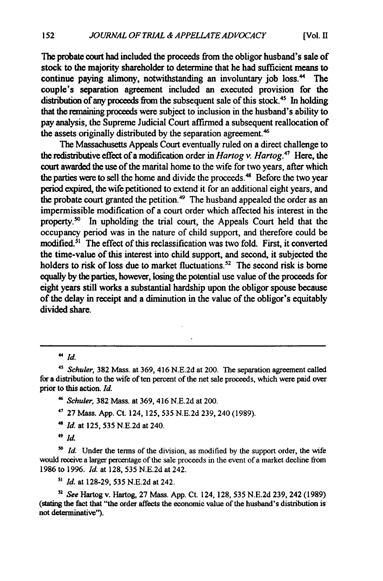The probate court had included the proceeds from the obligor husband's sale of stock to the majority shareholder to determine that he had sufficient means to continue paying alimony, notwithstanding an involuntary **job** loss." The couple's separation agreement included an executed provision for the distribution of any proceeds from the subsequent sale of this stock.<sup>45</sup> In holding that the remaining proceeds were subject to inclusion in the husband's ability to pay analysis, the Supreme Judicial Court affirmed a subsequent reallocation of the assets originally distributed by the separation agreement.<sup>46</sup>

The Massachusetts Appeals Court eventually ruled on a direct challenge to the redistributive effect of a modification order in *Hartog v. Hartog.<sup>4</sup> '* Here, the court awarded the use of the marital home to the wife for two years, after which the parties were to sell the home and divide the proceeds.<sup>48</sup> Before the two year period expired, the wife petitioned to extend it for an additional eight years, and the probate court granted the petition.<sup>49</sup> The husband appealed the order as an impermissible modification of a court order which affected his interest in the property." In upholding the trial court, the Appeals Court held that the occupancy period was in the nature of child support, and therefore could be modified.<sup>51</sup> The effect of this reclassification was two fold. First, it converted the time-value of this interest into child support, and second, it subjected the holders to risk of loss due to market fluctuations.<sup>52</sup> The second risk is borne equally **by** the parties, however, losing the potential use value of the proceeds for eight years still works a substantial hardship upon the obligor spouse because of the delay in receipt and a diminution in the value of the obligor's equitably divided share.

 $4 \dot{d}$ 

*<sup>48</sup>Id.* at **125, 535 N.E.2d** at 240.

*s' Id.* at 128-29, **535** N.E.2d at 242.

**s,** *See* Hartog v. Hartog, 27 Mass. App. Ct. 124, 128, 535 N.E.2d 239, 242 (1989) (stating the fact that "the order affects the economic value of the husband's distribution is not determinative").

*<sup>4&#</sup>x27; Schuler,* **382** Mass. at 369, 416 **N.E.2d** at 200. The separation agreement called for a distribution to the wife of ten percent of the net sale proceeds, which were paid over prior to this action. *Id.*

**<sup>&</sup>quot;** *Schuler,* **382** Mass. at 369, 416 N.E.2d at 200.

**<sup>47</sup>**27 Mass. App. Ct. 124, **125, 535 N.E.2d** 239, 240 (1989).

*<sup>49</sup> Id.*

*<sup>5\*</sup> Id.* Under the terms of the division, as modified by the support order, the wife would receive a larger percentage of the sale proceeds in the event of a market decline from 1986 to 1996. *Id.* at 128, **535** N.E.2d at 242.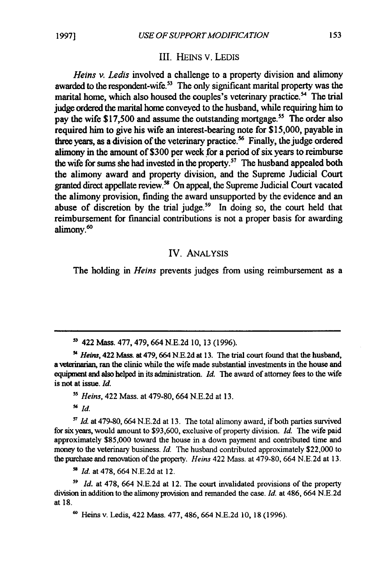#### III. HEiNs V. LEDIS

*Heins v. Ledis* involved a challenge to a property division and alimony awarded to the respondent-wife.<sup>53</sup> The only significant marital property was the marital home, which also housed the couples's veterinary practice.<sup>54</sup> The trial **judge** ordered the marital home conveyed to the husband, while requiring him to pay the wife \$17,500 and assume the outstanding mortgage.<sup>55</sup> The order also required him to give his wife an interest-bearing note for **\$15,000,** payable in three years, as a division of the veterinary practice.<sup>56</sup> Finally, the judge ordered alimony in the amount of **\$300** per **week** .for a period of six years to reimburse the wife for sums she had invested in the property.<sup>57</sup> The husband appealed both the alimony award and property division, and the Supreme Judicial Court granted direct appellate review.<sup>58</sup> On appeal, the Supreme Judicial Court vacated the alimony provision, finding the award unsupported **by** the evidence and an abuse of discretion **by** the trial judge.59 In doing so, the court held that reimbursement for financial contributions is not a proper basis for awarding alimony.<sup>60</sup>

#### IV. ANALYSIS

The holding in *Heins* prevents judges from using reimbursement as a

*<sup>55</sup>Heins,* 422 Mass. at **479-80,** 664 N.E.2d at **13.**

**<sup>56</sup>***Id.*

*Id.* at **479-80,664 N.E.2d** at **13.** The total alimony award, if both parties survived for six years, would amount to \$93,600, exclusive of property division. *Id.* The wife paid approximately **\$85,000** toward the house in a down payment and contributed time and money to the veterinary business. *Id.* The husband contributed approximately \$22,000 to the purchase and renovation of the property. *Heins* 422 Mass. at **479-80,** 664 N.E.2d at **13.**

*- Id.* at **478,** 664 **N.E.2d** at 12.

*<sup>59</sup>Id.* at **478,** 664 **N.E.2d** at 12. The court invalidated provisions of the property division in addition to the alimony provision and remanded the case. *Id.* at 486, 664 **N.E.2d** at **18.**

**60** Heins v. Ledis, 422 Mass. 477, 486, 664 N.E.2d 10, 18 (1996).

**<sup>5</sup>** 422 Mass. 477, 479, 664 N.E.2d 10, 13 (1996).

*<sup>-&</sup>quot; Heis,* 422 Mass. at 479, 664 N.E.2d at 13. The trial court found that the husband, a veterinarian, ran the clinic while the wife made substantial investments in the house and equipment and also helped in its administration. *Id*. The award of attorney fees to the wife is not at issue. *Id.*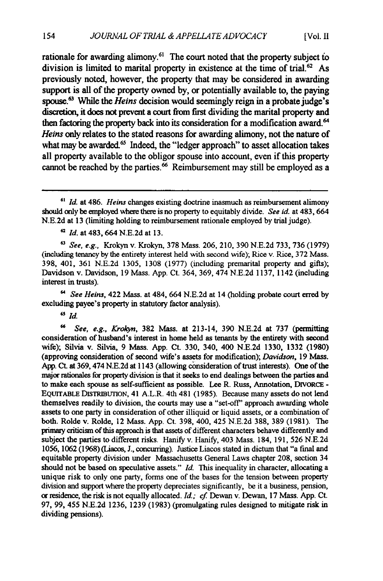rationale for awarding alimony.<sup>61</sup> The court noted that the property subject to division is limited to marital property in existence at the time of **trial.6 2** As previously noted, however, the property that may be considered in awarding support is all of the property owned **by,** or potentially available to, the paying spouse.<sup>63</sup> While the *Heins* decision would seemingly reign in a probate judge's discretion, **it does not** prevent a court from first dividing the marital property and then factoring the property back into its consideration for a modification award.' *Heins* only relates **to** the stated reasons for awarding alimony, not the nature of what may be awarded.<sup>65</sup> Indeed, the "ledger approach" to asset allocation takes all property available to the obligor spouse into account, even if this property cannot be reached by the parties.<sup>66</sup> Reimbursement may still be employed as a

**See, e.g.,** Krokyn v. Krokyn, **378** Mass. 206, 210, 390 N.E.2d 733, 736 (1979) (including tenancy by the entirety interest held with second wife); Rice v. Rice, 372 Mass. **398,** 401, 361 N.E.2d 1305, 1308 (1977) (including premarital property and gifts); Davidson v. Davidson, 19 Mass. App. Ct. 364, 369, 474 N.E.2d 1137, 1142 (including interest in trusts).

**"** *See Heins,* 422 Mass. at 484, 664 N.E.2d at 14 (holding probate court erred **by** excluding payee's property in statutory factor analysis).

*Sld.*

66 *See, e.g., Krokyn,* **382** Mass. at 213-14, 390 N.E.2d at 737 (permitting consideration of husband's interest in home held as tenants by the entirety with second wife); Silvia v. Silvia, 9 Mass. App. Ct. 330, 340, 400 N.E.2d 1330, 1332 (1980) (approving consideration of second wife's assets for modification); *Davidson,* 19 Mass. App. Ct. at 369,474 N.E.2d at 1143 (allowing consideration of trust interests). One of the major rationales for property division is that it seeks to end dealings between the parties and to make each spouse as self-sufficient as possible. Lee R. Russ, Annotation, DIVORCE **-** EQUITABLE DISTRIBUrION, 41 A.L.R. 4th 481 (1985). Because many assets do not lend themselves readily to division, the courts may use a "set-off' approach awarding whole assets to one party in consideration of other illiquid or liquid assets, or a combination of both. Rolde v. Rolde, 12 Mass. App. Ct. 398, 400, 425 N.E.2d **388, 389** (1981). The primary criticism of this approach is that assets of different characters behave differently and subject the parties to different risks. Hanify v. Hanify, 403 Mass. 184, 191, 526 N.E.2d 1056, 1062 (1968) (Liacos, **J.,** concurring). Justice Liacos stated in dictum that "a final and equitable property division under Massachusetts General Laws chapter **208,** section 34 should not be based on speculative assets." *Id.* This inequality in character, allocating a unique risk to only one party, forms one of the bases for the tension between property division and support where the property depreciates significantly, be it a business, pension, or residence, the risk is not equally allocated. *Id.; cf* Dewan v. Dewan, 17 Mass. App. Ct. **97, 99,** 455 N.E.2d **1236,** 1239 (1983) (promulgating rules designed to mitigate risk in dividing pensions).

*Id.* at 486. *Heins* changes existing doctrine inasmuch as reimbursement alimony should only be employed where there is no property to equitably divide. *See id.* at 483, 664 N.E.2d at 13 (limiting holding to reimbursement rationale employed **by** trial judge).

**<sup>62</sup>***Id.* at 483, 664 N.E.2d at 13.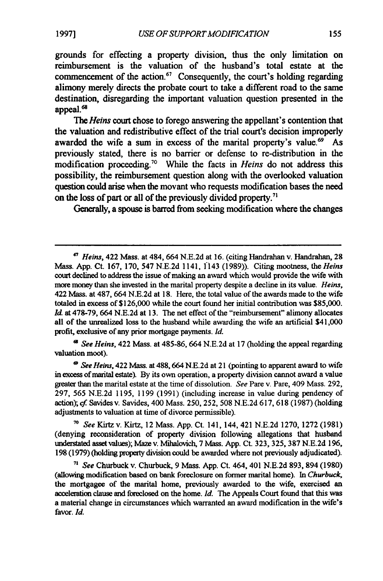grounds for effecting a property division, thus the only limitation on reimbursement is the valuation of the husband's total estate at the commencement of the action.<sup>67</sup> Consequently, the court's holding regarding alimony merely directs the probate court to take a different road to the same destination, disregarding the important valuation question presented in the appeal.<sup>68</sup>

*The Heins* court chose to forego answering the appellant's contention that the valuation and redistributive effect of the trial court's decision improperly awarded the wife a sum in excess of the marital property's value.<sup>69</sup> As previously stated, there is no barrier or defense to re-distribution in the modification proceeding.70 While the facts in *Heins* do not address this possibility, the reimbursement question along with the overlooked valuation question could arise when the movant who requests modification bases the need on the loss of part or all of the previously divided property.<sup>71</sup>

Generally, a spouse is barred from seeking modification where the changes

*a See Heins,* 422 Mass. at 485-86, 664 N.E.2d at 17 (holding the appeal regarding valuation moot).

*- See Heins,* 422 Mass. at 488,664 N.E.2d at 21 (pointing to apparent award to wife in excess of marital estate). By its own operation, a property division cannot award a value greater than the marital estate at the time of dissolution. *See* Pare v. Pare, 409 Mass. 292, 297, 565 N.E.2d 1195, 1199 (1991) (including increase in value during pendency of action); *cf* Savides v. Savides, 400 Mass. 250, 252, 508 N.E.2d 617, 618 (1987) (holding adjustments to valuation at time of divorce permissible).

**<sup>70</sup>***See* Kirtz v. Kirtz, 12 Mass. App. Ct. 141, 144, 421 N.E.2d 1270, 1272 (1981) (denying reconsideration of property division following allegations that husband understated asset values); Maze v. Mihalovich, 7 Mass. **App.** Ct. **323,** 325, **387** N.E.2d 196, **198** (1979) (holding property division **could** be awarded where not previously adjudicated).

*"' See* Churbuck v. Churbuck, 9 Mass. App. Ct. 464, 401 **N.E.2d 893,** 894 **(1980)** (allowing modification based on bank foreclosure on former marital home). In *Churbuck,* the mortgagee of the marital home, previously awarded to the wife, exercised an acceleration clause and foreclosed on the home. *Id.* The Appeals Court found that this was a material change in circumstances which warranted an award modification in the wife's favor. *Id.*

*<sup>67</sup>Heins,* 422 Mass. at 484, 664 N.E.2d at 16. (citing Handrahan v. Handrahan, 28 Mass. App. Ct. 167, 170, 547 N.E.2d 1141, 1143 (1989)). Citing mootness, the *Heins* court declined to address the issue of making an award which would provide the wife with more money than she invested in the marital property despite a decline in its value. *Heins,* 422 Mass. at 487, 664 N.E.2d at 18. Here, the total value of the awards made to the wife totaled in excess of \$126,000 while the court found her initial contribution was \$85,000. Id. at 478-79, 664 N.E.2d at 13. The net effect of the "reimbursement" alimony allocates all of the unrealized loss to the husband while awarding the wife an artificial \$41,000 profit, exclusive of any prior mortgage payments. *Id.*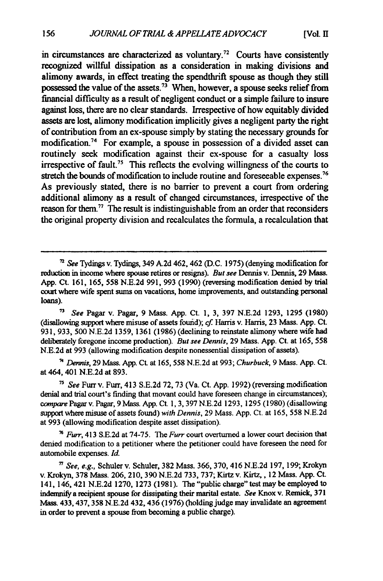in circumstances are characterized as voluntary.<sup>72</sup> Courts have consistently recognized willful dissipation as a consideration in making divisions and alimony awards, in effect treating the spendthrift spouse as though they still possessed the value of the assets.<sup>73</sup> When, however, a spouse seeks relief from financial difficulty as a result of negligent conduct or a simple failure to insure against loss, there are no clear standards. Irrespective of how equitably divided assets are lost, alimony modification implicitly gives a negligent party the right of contribution from an ex-spouse simply **by** stating the necessary grounds for modification.<sup>74</sup> For example, a spouse in possession of a divided asset can routinely seek modification against their ex-spouse for a casualty loss irrespective of fault.<sup>75</sup> This reflects the evolving willingness of the courts to stretch the bounds of modification to include routine and foreseeable expenses.<sup>76</sup> As previously stated, there is no barrier to prevent a court from ordering additional alimony as a result of changed circumstances, irrespective of the reason for them." The result is indistinguishable from an order that reconsiders the original property division and recalculates the formula, a recalculation that

*<sup>13</sup>See* Pagar v. Pagar, 9 Mass. App. Ct. 1, **3, 397 N.E.2d 1293, 1295** (1980) (disallowing support where misuse of assets found); *cf* Harris v. Harris, **23** Mass. App. Ct. **931, 933, 500 N.E.2d** 1359, 1361 **(1986)** (declining to reinstate alimony where wife had deliberately foregone income production). But **see** Dennis, **29** Mass. App. Ct. at **165, 558 N.E.2d** at **993** (allowing modification despite nonessential dissipation of assets).

**7'** *Dennis,* 29 Mass. App. Ct. at 165, **558 N.E.2d** at 993; *Churbuck,* 9 Mass. App. Ct. at 464, 401 **N.E.2d** at 893.

*' See* Furrv. Fur, 413 S.E.2d 72, **73** (Va. Ct. App. **1992)** (reversing modification denial and trial court's finding that movant could have foreseen change in circumstances); *compare* Pagar v. Pagar, 9 Mass. App. Ct. **1, 3, 397 N.E.2d** 1293, **1295 (1980)** (disallowing support where misuse of assets found) *with Dennis,* 29 Mass. App. Ct. at 165, **558 N.E.2d** at **993** (allowing modification despite asset dissipation).

**<sup>76</sup>***Furr,* 413 **S.E.2d** at 74-75. The *Furr* court overturned a lower court decision that denied modification to a petitioner where the petitioner could have foreseen the need for automobile expenses. *Id.*

**<sup>72</sup>***See* Tydings v. Tydings, 349 **A2d** 462, 462 **(D.C.** 1975) (denying modification for reduction in income where spouse retires or resigns). *But see* Dennis v. Dennis, **29** Mass. App. Ct. **161,** 165, **558 N.E.2d** 991, **993** (1990) (reversing modification denied **by** trial court where wife spent sums on vacations, home improvements, and outstanding personal loans).

**<sup>7</sup>***See, e.g.,* Schuler v. Schuler, **382** Mass. 366, **370,** 416 **N.E.2d** 197, 199; Krokyn v. Krokyn, **378** Mass. 206, 210, **390** N.E.2d **733,** 737; Kirtz v. Kirtz,, 12 Mass. App. Ct. 141, 146, 421 **N.E.2d 1270, 1273 (1981).** The "public charge" test may be employed to indemnify a recipient spouse for dissipating their marital estate. *See* Knox v. Remick, **371** Mass. **433,437,358 N.E.2d** 432, 436 **(1976)** (holding judge may invalidate an agreement in order to prevent a spouse from becoming a public charge).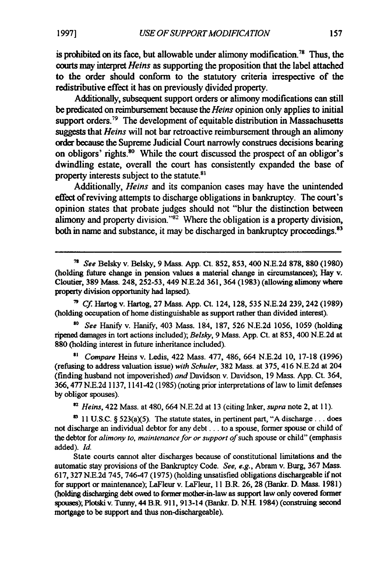is prohibited on its face, but allowable under alimony modification.<sup>78</sup> Thus, the courts may interpret **Heins** as supporting the proposition that the label attached to the order should conform to the statutory criteria irrespective of the redistributive effect it has on previously divided property.

Additionally, subsequent support orders or alimony modifications can still be predicated on reimbursement because the **Heins** opinion only applies to initial support orders.<sup> $79$ </sup> The development of equitable distribution in Massachusetts suggests that **Heins** will not bar retroactive reimbursement through an alimony order because the Supreme Judicial Court narrowly construes decisions bearing on obligors' rights.<sup>80</sup> While the court discussed the prospect of an obligor's dwindling estate, overall the court has consistently expanded the base of property interests subject to the statute.<sup>81</sup>

Additionally, **Heins** and its companion cases may have the unintended effect of reviving attempts to discharge obligations in bankruptcy. The court's opinion states that probate judges should not "blur the distinction between alimony and property division."<sup>82</sup> Where the obligation is a property division, both in name and substance, it may be discharged in bankruptcy proceedings.<sup>83</sup>

*" Cf* Hartog v. Hartog, 27 Mass. App. Ct. 124, 128, 535 N.E.2d 239, 242 (1989) (holding occupation of home distinguishable as support rather than divided interest).

*so* See Hanify v. Hanify, 403 Mass. 184, 187, 526 N.E.2d 1056, 1059 (holding ripened damages in tort actions included); Belsky, 9 Mass. App. Ct. at 853, 400 N.E.2d at **880** (holding interest in future inheritance included).

**"** Compare Heins v. Ledis, 422 Mass. 477, 486, 664 N.E.2d 10, 17-18 (1996) (refusing to address valuation issue) with Schuler, 382 Mass. at 375, 416 N.E.2d at 204 (finding husband not impoverished) and Davidson v. Davidson, 19 Mass. App. Ct. 364, 366,477 N.E.2d 1137, 1141-42 (1985) (noting prior interpretations of law to limit defenses **by** obligor spouses).

*Heins,* 422 Mass. at 480, 664 N.E.2d at 13 (citing Inker, supra note 2, at 11).

 $83$  11 U.S.C.  $\S$  523(a)(5). The statute states, in pertinent part, "A discharge... does not discharge an individual debtor for any debt.., to a spouse, former spouse or child of the debtor for *alimony to, maintenance for or support of* such spouse or child" (emphasis added). *Id.*

State courts cannot alter discharges because of constitutional limitations and the automatic stay provisions of the Bankruptcy Code. *See, e.g.,* Abram v. Burg, 367 Mass. 617, 327 N.E.2d 745, 746-47 (1975) (holding unsatisfied obligations dischargeable if not for support or maintenance); LaFleur v. LaFleur, 11 B.R. 26, 28 (Bankr. D. **Mass.** 1981) (holding discharging debt **owed** to former mother-in-law as support law only covered former spouses); Plotski v. Tunny, 44 **B.P 911,** 913-14 (Bankr. **D. N.H.** 1984) (construing second mortgage to be support and thus non-dischargeable).

*<sup>&</sup>quot;* **See** Belsky v. Belsky, 9 Mass. App. Ct. 852, 853, 400 N.E.2d 878, 880 (1980) (holding future change in pension values a material change in circumstances); Hay v. Cloutier, **389** Mass. 248, 252-53, 449 **N.E.2d** 361, 364 (1983) (allowing alimony where property division opportunity had lapsed).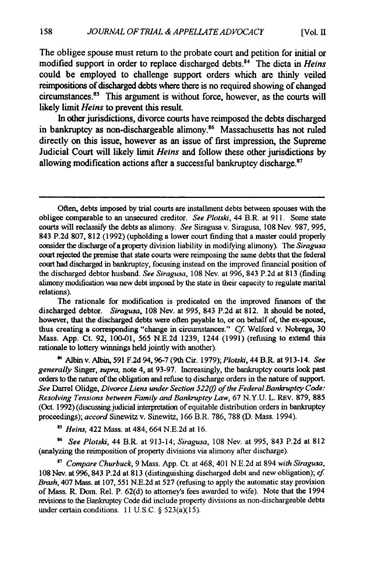**[Vol. II**

The obligee spouse must return to the probate court and petition for initial or modified support in order to replace discharged debts.<sup>84</sup> The dicta in *Heins* could be employed to challenge support orders which are thinly veiled reimpositions of discharged debts where there is no required showing of changed circumstances.<sup>85</sup> This argument is without force, however, as the courts will likely limit *Heins* to prevent this result.

In other jurisdictions, divorce courts have reimposed the debts discharged in bankruptcy as non-dischargeable alimony.<sup>86</sup> Massachusetts has not ruled directly on this issue, however as an issue of first impression, the Supreme Judicial Court will likely limit *Heins* and follow these other jurisdictions **by** allowing modification actions after a successful bankruptcy discharge.<sup>87</sup>

The rationale for modification is predicated on the improved finances of the discharged debtor. *Siragusa,* 108 Nev. at 995, 843 P.2d at 812. It should be noted, however, that the discharged debts were often payable to, or on behalf of, the ex-spouse, thus creating a corresponding "change in circumstances." *Cf* Welford v. Nobrega, **<sup>30</sup>** Mass. **App.** Ct. **92, 100-01, 565 N.E.2d 1239,** 1244 **(1991)** (refusing to extend this rationale to lottery winnings held jointly with another).

**'** Albin v. Albin, **591 F.2d 94, 96-7** (9th Cir. **1979);** *Plotski,* 44 B.R. at 913-14. *See generally* Singer, *supra,* note 4, at **93-97.** Increasingly, the bankruptcy courts look past orders to the nature of the obligation and refuse tQ discharge orders in the nature of support. *See* Darrel Olidge, *Divorce Liens under Section 52209 of the Federal Bankruptcy Code: Resolving Tensions between Family and Bankruptcy Law,* 67 N.Y.U. L. REV. 879, 885 (Oct. 1992) (discussing judicial interpretation of equitable distribution orders in bankruptcy proceedings); *accord* Sinewitz v. Sinewitz, 166 B.R. 786, 788 (D. Mass. 1994).

*35 Heins,* 422 Mass. at 484, 664 N.E.2d at 16.

*<sup>86</sup>See Plotski,* 44 B.R. at 913-14; *Siragusa,* 108 Nev. at 995, 843 P.2d at 812 (analyzing the reimposition of property divisions via alimony after discharge).

*' Compare Churbuck,* 9 Mass. App. Ct. at 468, 401 N.E.2d at 894 *with Siragusa,* 108 Nev. at **996,** 843 P.2d at 813 (distinguishing discharged debt and new obligation); *cf. Brash,* 407 Mass. at 107, 551 N.E.2d at 527 (refusing to apply the automatic stay provision of Mass. R. Dom. Rel. P. 62(d) to attorney's fees awarded to wife). Note that the 1994 revisions to the Bankruptcy Code did include property divisions as non-dischargeable debts under certain conditions. 11 U.S.C.  $\S$  523(a)(15).

Often, debts imposed by trial courts are installment debts between spouses with the obligee comparable to an unsecured creditor. *See Plotski,* 44 B.R. at 911. Some state courts will reclassify the debts as alimony. *See* Siragusa v. Siragusa, 108 Nev. 987, 995, 843 P.2d 807, 812 (1992) (upholding a lower court finding that a master could properly consider the discharge of a property division liability in modifying alimony). The *Siragusa* court rejected the premise that state courts were reimposing the same debts that the federal court had discharged in bankruptcy, focusing instead on the improved financial position of the discharged debtor husband. *See Siragusa,* 108 Nev. at 996, 843 P.2d at 813 (finding alimony modification was new debt imposed by the state in their capacity to regulate marital relations).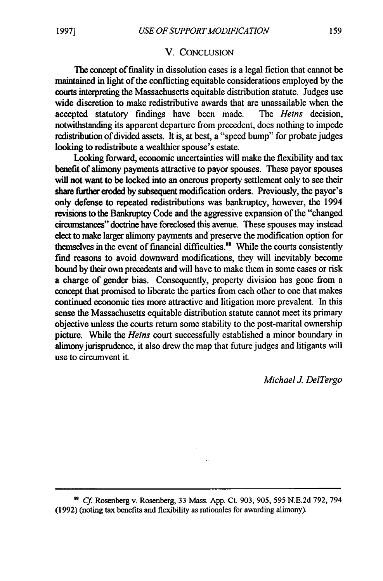#### V. CONCLUSION

The concept of finality in dissolution cases is a legal fiction that cannot be maintained in light of the conflicting equitable considerations employed by the courts interpreting the Massachusetts equitable distribution statute. Judges use wide discretion to make redistributive awards that are unassailable when the accepted statutory findings have been made. The *Hems* decision, notwithstanding its apparent departure from precedent, does nothing to impede redistribution of divided assets. It is, at best, a "speed bump" for probate judges looking to redistribute a wealthier spouse's estate.

Looking forward, economic uncertainties will make the flexibility and tax benefit of alimony payments attractive to payor spouses. These payor spouses will not want to be locked into an onerous property settlement only to see their share firther eroded by subsequent modification orders. Previously, the payor's only defense to repeated redistributions was bankruptcy, however, the 1994 revisions to the Bankruptcy Code and the aggressive expansion of the "changed circumstances" doctrine have foreclosed this avenue. These spouses may instead elect to make larger alimony payments and preserve the modification option for themselves in the event of financial difficulties. $88$  While the courts consistently find reasons to avoid downward modifications, they will inevitably become bound by their own precedents and will have to make them in some cases or risk a charge of gender bias. Consequently, property division has gone from a concept that promised to liberate the parties from each other to one that makes continued economic ties more attractive and litigation more prevalent. In this sense the Massachusetts equitable distribution statute cannot meet its primary objective unless the courts return some stability to the post-marital ownership picture. While the *Heins* court successfully established a minor boundary in alimony jurisprudence, it also drew the map that future judges and litigants will use to circumvent it.

*Michael J. DelTergo*

<sup>&</sup>lt;sup>88</sup> Cf. Rosenberg v. Rosenberg, 33 Mass. App. Ct. 903, 905, 595 N.E.2d 792, 794 (1992) (noting tax benefits and flexibility as rationales for awarding alimony).